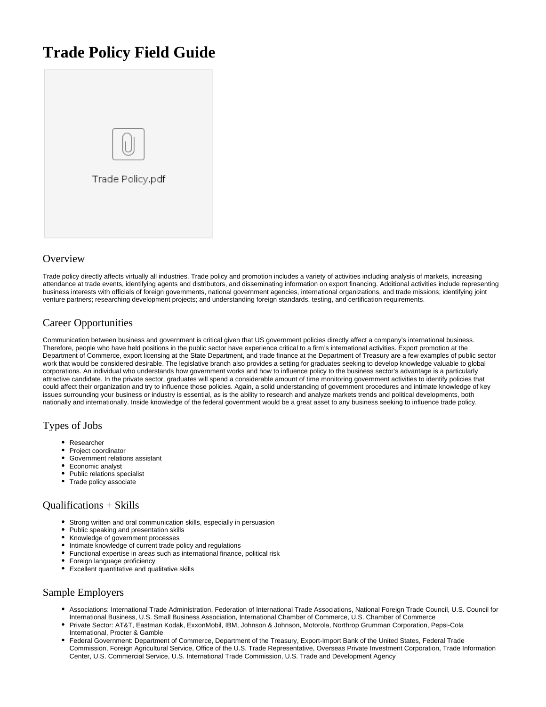# **Trade Policy Field Guide**



## **Overview**

Trade policy directly affects virtually all industries. Trade policy and promotion includes a variety of activities including analysis of markets, increasing attendance at trade events, identifying agents and distributors, and disseminating information on export financing. Additional activities include representing business interests with officials of foreign governments, national government agencies, international organizations, and trade missions; identifying joint venture partners; researching development projects; and understanding foreign standards, testing, and certification requirements.

# Career Opportunities

Communication between business and government is critical given that US government policies directly affect a company's international business. Therefore, people who have held positions in the public sector have experience critical to a firm's international activities. Export promotion at the Department of Commerce, export licensing at the State Department, and trade finance at the Department of Treasury are a few examples of public sector work that would be considered desirable. The legislative branch also provides a setting for graduates seeking to develop knowledge valuable to global corporations. An individual who understands how government works and how to influence policy to the business sector's advantage is a particularly attractive candidate. In the private sector, graduates will spend a considerable amount of time monitoring government activities to identify policies that could affect their organization and try to influence those policies. Again, a solid understanding of government procedures and intimate knowledge of key issues surrounding your business or industry is essential, as is the ability to research and analyze markets trends and political developments, both nationally and internationally. Inside knowledge of the federal government would be a great asset to any business seeking to influence trade policy.

#### Types of Jobs

- Researcher
- Project coordinator
- Government relations assistant
- Economic analyst
- Public relations specialist
- Trade policy associate

#### Qualifications + Skills

- Strong written and oral communication skills, especially in persuasion
- Public speaking and presentation skills
- Knowledge of government processes
- Intimate knowledge of current trade policy and regulations
- Functional expertise in areas such as international finance, political risk
- Foreign language proficiency
- Excellent quantitative and qualitative skills

# Sample Employers

- Associations: International Trade Administration, Federation of International Trade Associations, National Foreign Trade Council, U.S. Council for International Business, U.S. Small Business Association, International Chamber of Commerce, U.S. Chamber of Commerce
- Private Sector: AT&T, Eastman Kodak, ExxonMobil, IBM, Johnson & Johnson, Motorola, Northrop Grumman Corporation, Pepsi-Cola International, Procter & Gamble
- Federal Government: Department of Commerce, Department of the Treasury, Export-Import Bank of the United States, Federal Trade Commission, Foreign Agricultural Service, Office of the U.S. Trade Representative, Overseas Private Investment Corporation, Trade Information Center, U.S. Commercial Service, U.S. International Trade Commission, U.S. Trade and Development Agency